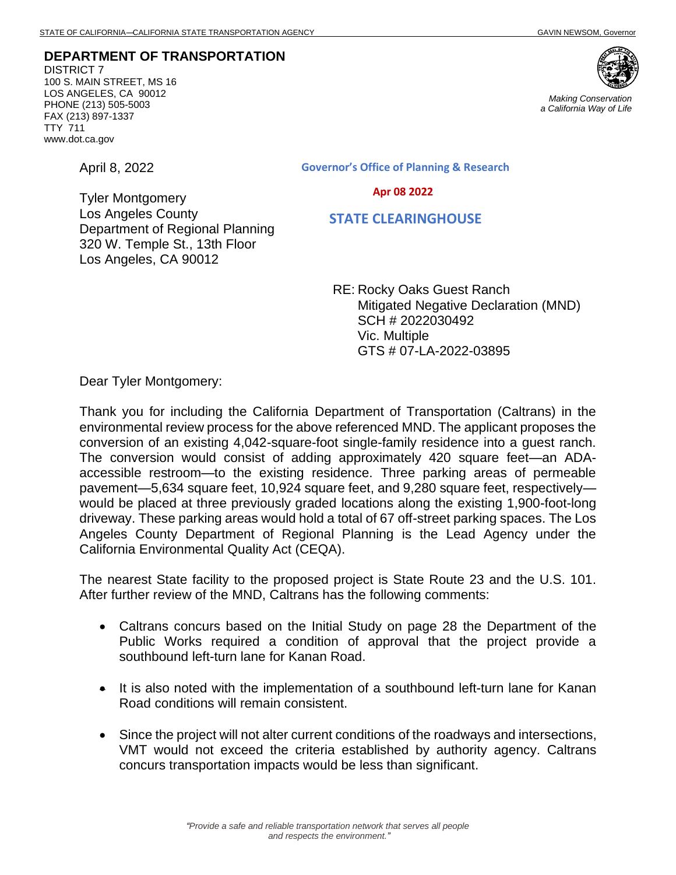Department of Regional Planning 320 W. Temple St., 13th Floor

**DEPARTMENT OF TRANSPORTATION** DISTRICT 7 100 S. MAIN STREET, MS 16 LOS ANGELES, CA 90012 PHONE (213) 505-5003 FAX (213) 897-1337 TTY 711 www.dot.ca.gov



*Making Conservation a California Way of Life*

April 8, 2022

Tyler Montgomery Los Angeles County Governor's Office of Planning & Research

Apr 08 2022

STATE CLEARINGHOUSE

RE: Rocky Oaks Guest Ranch Mitigated Negative Declaration (MND) SCH # 2022030492 Vic. Multiple GTS # 07-LA-2022-03895

Dear Tyler Montgomery:

Los Angeles, CA 90012

Thank you for including the California Department of Transportation (Caltrans) in the environmental review process for the above referenced MND. The applicant proposes the conversion of an existing 4,042-square-foot single-family residence into a guest ranch. The conversion would consist of adding approximately 420 square feet—an ADAaccessible restroom—to the existing residence. Three parking areas of permeable pavement—5,634 square feet, 10,924 square feet, and 9,280 square feet, respectively would be placed at three previously graded locations along the existing 1,900-foot-long driveway. These parking areas would hold a total of 67 off-street parking spaces. The Los Angeles County Department of Regional Planning is the Lead Agency under the California Environmental Quality Act (CEQA).

The nearest State facility to the proposed project is State Route 23 and the U.S. 101. After further review of the MND, Caltrans has the following comments:

- Caltrans concurs based on the Initial Study on page 28 the Department of the Public Works required a condition of approval that the project provide a southbound left-turn lane for Kanan Road.
- It is also noted with the implementation of a southbound left-turn lane for Kanan Road conditions will remain consistent.
- Since the project will not alter current conditions of the roadways and intersections, VMT would not exceed the criteria established by authority agency. Caltrans concurs transportation impacts would be less than significant.